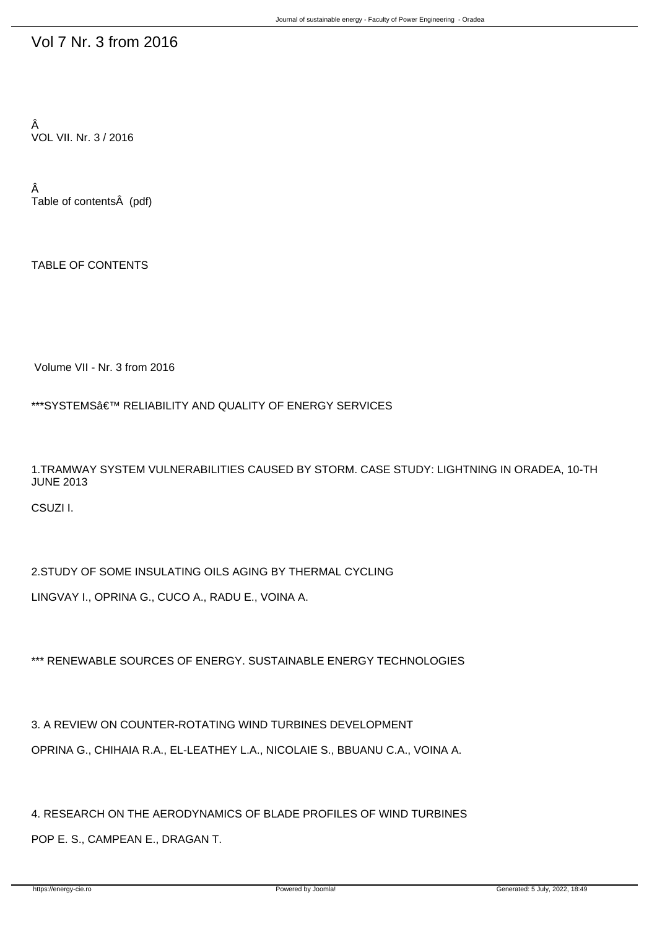## Vol 7 Nr. 3 from 2016

Â VOL VII. Nr. 3 / 2016

Â Table of contents (pdf)

TABLE OF CONTENTS

Volume VII - Nr. 3 from 2016

\*\*\*SYSTEMS $\hat{a} \in \mathbb{N}$  RELIABILITY AND QUALITY OF ENERGY SERVICES

1.TRAMWAY SYSTEM VULNERABILITIES CAUSED BY STORM. CASE STUDY: LIGHTNING IN ORADEA, 10-TH JUNE 2013

CSUZI I.

2.STUDY OF SOME INSULATING OILS AGING BY THERMAL CYCLING LINGVAY I., OPRINA G., CUCO A., RADU E., VOINA A.

\*\*\* RENEWABLE SOURCES OF ENERGY. SUSTAINABLE ENERGY TECHNOLOGIES

3. A REVIEW ON COUNTER-ROTATING WIND TURBINES DEVELOPMENT OPRINA G., CHIHAIA R.A., EL-LEATHEY L.A., NICOLAIE S., B-BUANU C.A., VOINA A.

4. RESEARCH ON THE AERODYNAMICS OF BLADE PROFILES OF WIND TURBINES POP E. S., CAMPEAN E., DRAGAN T.